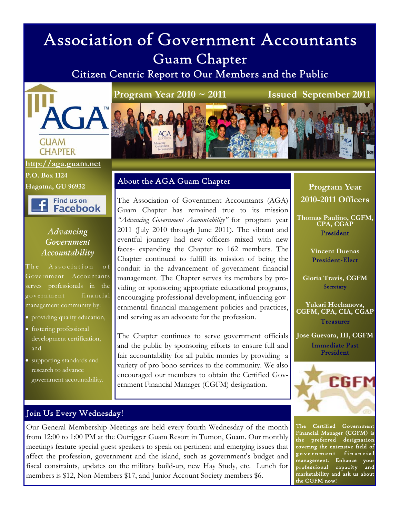# Association of Government Accountants Guam Chapter

Citizen Centric Report to Our Members and the Public



#### **CHAPTER http://aga.guam.net**

**P.O. Box 1124 Hagatna, GU 96932** 

Find us on Facebook

#### *Advancing Government Accountability*

The Association of Government Accountants serves professionals in the government financial management community by:

- providing quality education,
- fostering professional development certification, and
- supporting standards and research to advance government accountability.

#### **Program Year 2010 ~ 2011 Issued September 2011**



#### About the AGA Guam Chapter

The Association of Government Accountants (AGA) Guam Chapter has remained true to its mission *"Advancing Government Accountability"* for program year 2011 (July 2010 through June 2011). The vibrant and eventful journey had new officers mixed with new faces- expanding the Chapter to 162 members. The Chapter continued to fulfill its mission of being the conduit in the advancement of government financial management. The Chapter serves its members by providing or sponsoring appropriate educational programs, encouraging professional development, influencing governmental financial management policies and practices, and serving as an advocate for the profession.

The Chapter continues to serve government officials and the public by sponsoring efforts to ensure full and fair accountability for all public monies by providing a variety of pro bono services to the community. We also encouraged our members to obtain the Certified Government Financial Manager (CGFM) designation.

#### **Program Year 2010-2011 Officers**

**Thomas Paulino, CGFM, CPA, CGAP**  President

> **Vincent Duenas**  President-Elect

**Gloria Travis, CGFM Secretary** 

**Yukari Hechanova, CGFM, CPA, CIA, CGAP Treasurer** 

**Jose Guevara, III, CGFM**  Immediate Past President



The Certified Government Financial Manager (CGFM) is the preferred designation covering the extensive field of government financial management. Enhance your professional capacity and marketability and ask us about the CGFM now!

#### Join Us Every Wednesday!

Our General Membership Meetings are held every fourth Wednesday of the month from 12:00 to 1:00 PM at the Outrigger Guam Resort in Tumon, Guam. Our monthly meetings feature special guest speakers to speak on pertinent and emerging issues that affect the profession, government and the island, such as government's budget and fiscal constraints, updates on the military build-up, new Hay Study, etc. Lunch for members is \$12, Non-Members \$17, and Junior Account Society members \$6.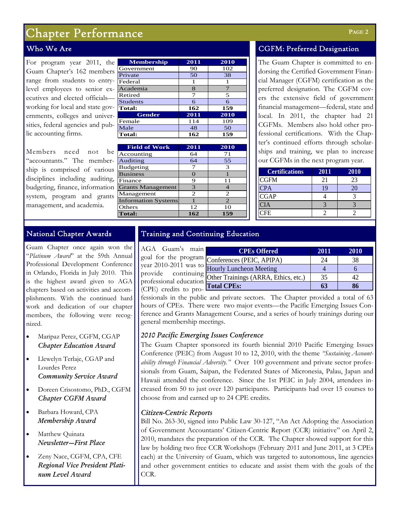### Chapter Performance

#### Who We Are

For program year 2011, the Guam Chapter's 162 member range from students to entrylevel employees to senior executives and elected officials working for local and state gov ernments, colleges and universities, federal agencies and public accounting firms.

Members need not be "accountants." The membership is comprised of various disciplines including auditing, budgeting, finance, information system, program and grants management, and academia.

| <b>Membership</b> | 2011 | 2010          |  |  |
|-------------------|------|---------------|--|--|
| Government        | 90   | 102           |  |  |
| Private           | 50   | 38            |  |  |
| Federal           | 1    |               |  |  |
| Academia          | 8    | $\mathcal{I}$ |  |  |
| Retired           | 7    | 5             |  |  |
| <b>Students</b>   | 6    | 6             |  |  |
| <b>Total:</b>     | 162  | 159           |  |  |
| Gender            | 2011 | 2010          |  |  |
| Female            | 114  | 109           |  |  |
| Male              | 48   | 50            |  |  |
| <b>Total:</b>     | 162  | 159           |  |  |

| <b>Field of Work</b>       | 2011          | 2010 |
|----------------------------|---------------|------|
| Accounting                 | 64            | 71   |
| Auditing                   | 64            | 55   |
| <b>Budgeting</b>           |               | 3    |
| <b>Business</b>            |               |      |
| Finance                    | 9             | 11   |
| <b>Grants Management</b>   | $\mathcal{R}$ |      |
| Management                 | 2             | 2    |
| <b>Information Systems</b> |               | 2    |
| Others                     | 12            | 10   |
| <b>Total:</b>              | 162           | 159  |

#### CGFM: Preferred Designation

The Guam Chapter is committed to endorsing the Certified Government Financial Manager (CGFM) certification as the preferred designation. The CGFM covers the extensive field of government financial management—federal, state and local. In 2011, the chapter had 21 CGFMs. Members also hold other professional certifications. With the Chapter's continued efforts through scholarships and training, we plan to increase our CGFMs in the next program year.

| <b>Certifications</b> | 2011 | 2010 |
|-----------------------|------|------|
| <b>CGFM</b>           | 21   | 23   |
| <b>CPA</b>            |      | л    |
| <b>CGAP</b>           |      |      |
| CIA                   |      |      |
| `FE                   |      |      |

#### National Chapter Awards

Guam Chapter once again won the "*Platinum Award*" at the 59th Annual Professional Development Conference in Orlando, Florida in July 2010. This is the highest award given to AGA chapters based on activities and accomplishments. With the continued hard work and dedication of our chapter members, the following were recognized.

- Maripaz Perez, CGFM, CGAP *Chapter Education Award*
- Llewelyn Terlaje, CGAP and Lourdes Perez *Community Service Award*
- Doreen Crisostomo, PhD., CGFM *Chapter CGFM Award*
- Barbara Howard, CPA *Membership Award*
- Matthew Quinata *Newsletter—First Place*
- Zeny Nace, CGFM, CPA, CFE *Regional Vice President Platinum Level Award*

#### Training and Continuing Education

AGA Guam's main goal for the program year 2010-2011 was to provide continuing professional education (CPE) credits to pro-

| n<br><b>CPEs Offered</b>                          | 2011 | 2010 |
|---------------------------------------------------|------|------|
| <sup>n</sup> Conferences (PEIC, APIPA)            | 24   | 38   |
| <sup>O</sup> Hourly Luncheon Meeting              |      |      |
| <sup>g</sup> Other Trainings (ARRA, Ethics, etc.) | 35   |      |
| n<br><b>Total CPEs:</b>                           |      |      |

fessionals in the public and private sectors. The Chapter provided a total of 63 hours of CPEs. There were two major events—the Pacific Emerging Issues Conference and Grants Management Course, and a series of hourly trainings during our general membership meetings.

#### *2010 Pacific Emerging Issues Conference*

The Guam Chapter sponsored its fourth biennial 2010 Pacific Emerging Issues Conference (PEIC) from August 10 to 12, 2010, with the theme *"Sustaining Accountability through Financial Adversity."* Over 100 government and private sector professionals from Guam, Saipan, the Federated States of Micronesia, Palau, Japan and Hawaii attended the conference. Since the 1st PEIC in July 2004, attendees increased from 50 to just over 120 participants. Participants had over 15 courses to choose from and earned up to 24 CPE credits.

#### *Citizen-Centric Reports*

Bill No. 263-30, signed into Public Law 30-127, "An Act Adopting the Association of Government Accountants' Citizen-Centric Report (CCR) initiative" on April 2, 2010, mandates the preparation of the CCR. The Chapter showed support for this law by holding two free CCR Workshops (February 2011 and June 2011, at 3 CPEs each) at the University of Guam, which was targeted to autonomous, line agencies and other government entities to educate and assist them with the goals of the CCR.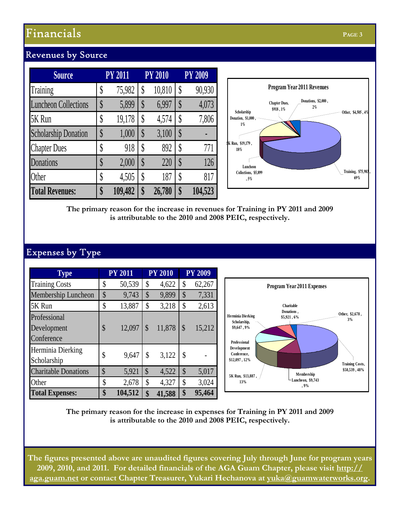## **Financials Page 3 PAGE 3**

| <b>Source</b>               |                   | <b>PY 2011</b> |   | <b>PY 2010</b> | <b>PY 2009</b> |
|-----------------------------|-------------------|----------------|---|----------------|----------------|
| Training                    |                   | 75,982         |   | 10,810         | 90,930         |
| <b>Luncheon Collections</b> | ψ                 | 5,899          | S | 6,997          | 4,073          |
| 5K Run                      |                   | 19,178         |   | 4,574          | 7,806          |
| <b>Scholarship Donation</b> | $\boldsymbol{\S}$ | 1,000          | S | 3,100          |                |
| <b>Chapter Dues</b>         |                   | 918            |   | 892            | 771            |
| Donations                   |                   | 2,000          |   | 220            | 126            |
| Other                       |                   | 4,505          |   | 187            | 817            |
| <b>Total Revenues:</b>      |                   | 109,482        |   | 26,780         | 104,523        |

#### Revenues by Source

**The primary reason for the increase in revenues for Training in PY 2011 and 2009 is attributable to the 2010 and 2008 PEIC, respectively.** 

### Expenses by Type

| <b>Type</b>                               |               | <b>PY 2011</b> |               | <b>PY 2010</b> |               | <b>PY 2009</b> |                                                                                                                              |
|-------------------------------------------|---------------|----------------|---------------|----------------|---------------|----------------|------------------------------------------------------------------------------------------------------------------------------|
| <b>Training Costs</b>                     | \$            | 50,539         | S             | 4,622          | S             | 62,267         | <b>Program Year 2011 Expenses</b>                                                                                            |
| Membership Luncheon                       | $\mathcal{S}$ | 9,743          | \$            | 9,899          | S             | 7,331          |                                                                                                                              |
| 5K Run                                    | \$            | 13,887         | \$            | 3,218          | \$            | 2,613          | <b>Charitable</b>                                                                                                            |
| Professional<br>Development<br>Conference | \$            | 12,097         | $\mathbb{S}$  | 11,878         | $\mathcal{S}$ | 15,212         | Donations,<br>Other, \$2,678,<br><b>Herminia Dierking</b><br>\$5,921,6%<br>3%<br>Scholarship,<br>\$9,647, 9%<br>Professional |
| Herminia Dierking<br>Scholarship          | \$            | 9,647          | \$            | 3,122          | \$            |                | Development<br>Conference,<br>\$12,097, 12%<br><b>Training Costs,</b>                                                        |
| <b>Charitable Donations</b>               | \$            | 5,921          | $\mathcal{S}$ | 4,522          | S             | 5,017          | \$50,539,48%<br>Membership<br>5K Run, \$13,887,                                                                              |
| Other                                     |               | 2,678          | ъ             | 4,327          | ۰ħ            | 3,024          | Luncheon, \$9,743<br>13%<br>,9%                                                                                              |
| <b>Total Expenses:</b>                    | \$            | 104,512        |               | 41,588         |               | 95,464         |                                                                                                                              |

**The primary reason for the increase in expenses for Training in PY 2011 and 2009 is attributable to the 2010 and 2008 PEIC, respectively.** 

**The figures presented above are unaudited figures covering July through June for program years 2009, 2010, and 2011. For detailed financials of the AGA Guam Chapter, please visit http:// aga.guam.net or contact Chapter Treasurer, Yukari Hechanova at yuka@guamwaterworks.org.**